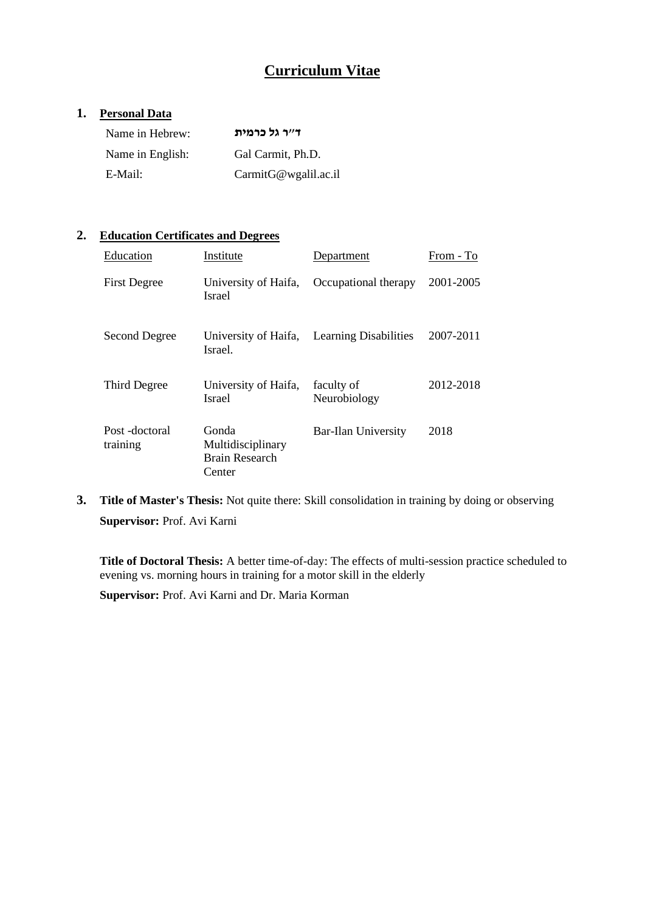# **Curriculum Vitae**

## **1. Personal Data**

| Name in Hebrew:  | ד״ר גל כרמית         |
|------------------|----------------------|
| Name in English: | Gal Carmit, Ph.D.    |
| E-Mail:          | CarmitG@wgalil.ac.il |

### **2. Education Certificates and Degrees**

| Education                 | Institute                                              | Department                                 | From - To |
|---------------------------|--------------------------------------------------------|--------------------------------------------|-----------|
| <b>First Degree</b>       | University of Haifa,<br><b>Israel</b>                  | Occupational therapy                       | 2001-2005 |
| Second Degree             | Israel.                                                | University of Haifa, Learning Disabilities | 2007-2011 |
| Third Degree              | University of Haifa,<br><b>Israel</b>                  | faculty of<br>Neurobiology                 | 2012-2018 |
| Post-doctoral<br>training | Gonda<br>Multidisciplinary<br>Brain Research<br>Center | Bar-Ilan University                        | 2018      |

**3. Title of Master's Thesis:** Not quite there: Skill consolidation in training by doing or observing **Supervisor:** Prof. Avi Karni

**Title of Doctoral Thesis:** A better time-of-day: The effects of multi-session practice scheduled to evening vs. morning hours in training for a motor skill in the elderly

**Supervisor:** Prof. Avi Karni and Dr. Maria Korman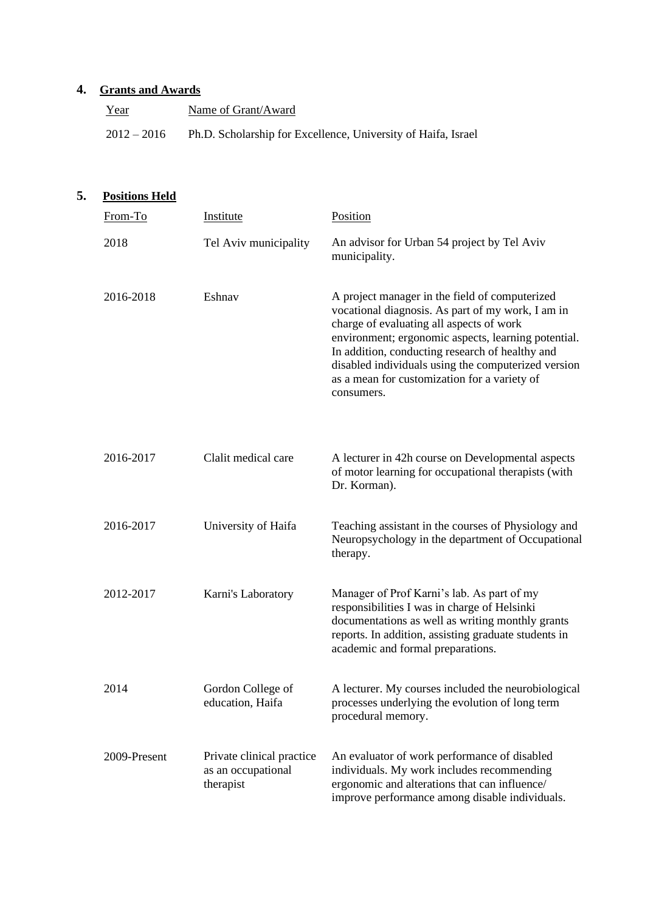## **4. Grants and Awards**

| Year          | Name of Grant/Award                                           |
|---------------|---------------------------------------------------------------|
| $2012 - 2016$ | Ph.D. Scholarship for Excellence, University of Haifa, Israel |

## **5. Positions Held**

| From-To      | Institute                                                    | <b>Position</b>                                                                                                                                                                                                                                                                                                                                                                |
|--------------|--------------------------------------------------------------|--------------------------------------------------------------------------------------------------------------------------------------------------------------------------------------------------------------------------------------------------------------------------------------------------------------------------------------------------------------------------------|
| 2018         | Tel Aviv municipality                                        | An advisor for Urban 54 project by Tel Aviv<br>municipality.                                                                                                                                                                                                                                                                                                                   |
| 2016-2018    | Eshnav                                                       | A project manager in the field of computerized<br>vocational diagnosis. As part of my work, I am in<br>charge of evaluating all aspects of work<br>environment; ergonomic aspects, learning potential.<br>In addition, conducting research of healthy and<br>disabled individuals using the computerized version<br>as a mean for customization for a variety of<br>consumers. |
| 2016-2017    | Clalit medical care                                          | A lecturer in 42h course on Developmental aspects<br>of motor learning for occupational therapists (with<br>Dr. Korman).                                                                                                                                                                                                                                                       |
| 2016-2017    | University of Haifa                                          | Teaching assistant in the courses of Physiology and<br>Neuropsychology in the department of Occupational<br>therapy.                                                                                                                                                                                                                                                           |
| 2012-2017    | Karni's Laboratory                                           | Manager of Prof Karni's lab. As part of my<br>responsibilities I was in charge of Helsinki<br>documentations as well as writing monthly grants<br>reports. In addition, assisting graduate students in<br>academic and formal preparations.                                                                                                                                    |
| 2014         | Gordon College of<br>education, Haifa                        | A lecturer. My courses included the neurobiological<br>processes underlying the evolution of long term<br>procedural memory.                                                                                                                                                                                                                                                   |
| 2009-Present | Private clinical practice<br>as an occupational<br>therapist | An evaluator of work performance of disabled<br>individuals. My work includes recommending<br>ergonomic and alterations that can influence/<br>improve performance among disable individuals.                                                                                                                                                                                  |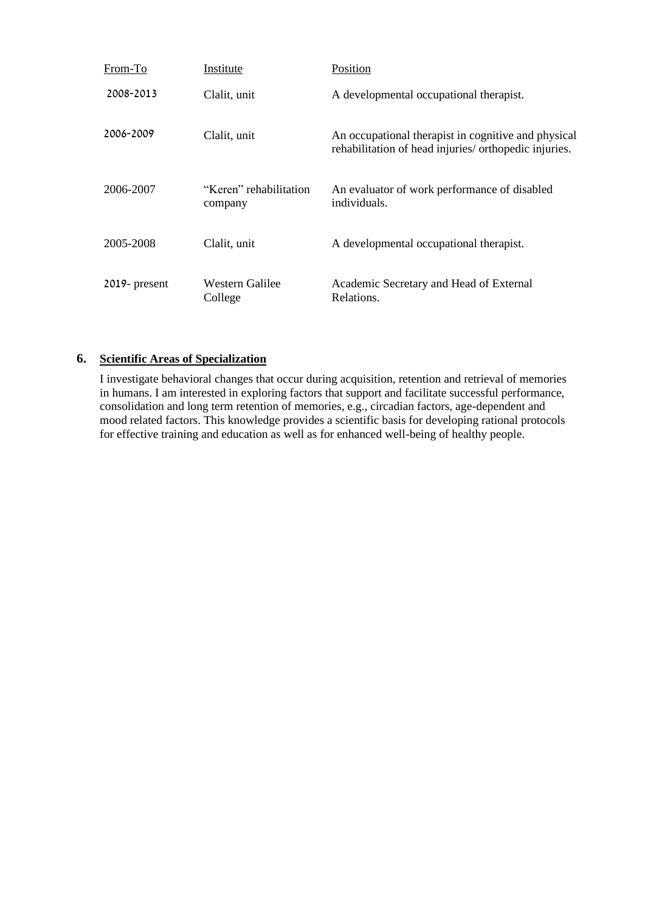| From-To          | Institute                         | Position                                                                                                     |
|------------------|-----------------------------------|--------------------------------------------------------------------------------------------------------------|
| 2008-2013        | Clalit, unit                      | A developmental occupational therapist.                                                                      |
| 2006-2009        | Clalit, unit                      | An occupational therapist in cognitive and physical<br>rehabilitation of head injuries/ orthopedic injuries. |
| 2006-2007        | "Keren" rehabilitation<br>company | An evaluator of work performance of disabled<br>individuals.                                                 |
| 2005-2008        | Clalit, unit                      | A developmental occupational therapist.                                                                      |
| $2019$ - present | Western Galilee<br>College        | Academic Secretary and Head of External<br>Relations.                                                        |

### **6. Scientific Areas of Specialization**

I investigate behavioral changes that occur during acquisition, retention and retrieval of memories in humans. I am interested in exploring factors that support and facilitate successful performance, consolidation and long term retention of memories, e.g., circadian factors, age-dependent and mood related factors. This knowledge provides a scientific basis for developing rational protocols for effective training and education as well as for enhanced well-being of healthy people.